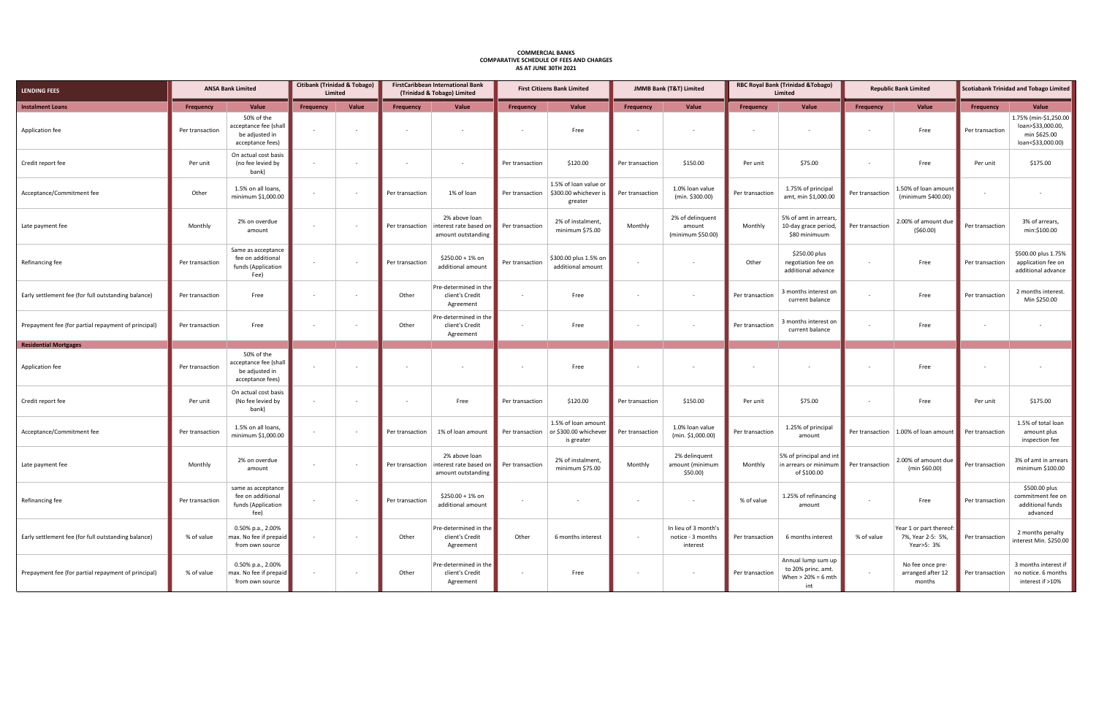| <b>LENDING FEES</b>                                 | <b>ANSA Bank Limited</b> |                                                                           | <b>Citibank (Trinidad &amp; Tobago)</b><br>Limited |                          | <b>FirstCaribbean International Bank</b><br>(Trinidad & Tobago) Limited |                                                               | <b>First Citizens Bank Limited</b> |                                                            | <b>JMMB Bank (T&amp;T) Limited</b> |                                                       | <b>RBC Royal Bank (Trinidad &amp;Tobago)</b><br>Limited |                                                                         | <b>Republic Bank Limited</b> |                                                            | <b>Scotiabank Trinidad and Tobago Limited</b> |                                                                                 |
|-----------------------------------------------------|--------------------------|---------------------------------------------------------------------------|----------------------------------------------------|--------------------------|-------------------------------------------------------------------------|---------------------------------------------------------------|------------------------------------|------------------------------------------------------------|------------------------------------|-------------------------------------------------------|---------------------------------------------------------|-------------------------------------------------------------------------|------------------------------|------------------------------------------------------------|-----------------------------------------------|---------------------------------------------------------------------------------|
| <b>Instalment Loans</b>                             | Frequency                | Value                                                                     | <b>Frequency</b>                                   | Value                    | Frequency                                                               | Value                                                         | Frequency                          | Value                                                      | <b>Frequency</b>                   | Value                                                 | <b>Frequency</b>                                        | Value                                                                   | <b>Frequency</b>             | Value                                                      | Frequency                                     | Value                                                                           |
| Application fee                                     | Per transaction          | 50% of the<br>acceptance fee (shall<br>be adjusted in<br>acceptance fees) |                                                    | $\overline{\phantom{a}}$ | $\sim$                                                                  | $\sim$                                                        |                                    | Free                                                       |                                    |                                                       |                                                         |                                                                         |                              | Free                                                       | Per transaction                               | 1.75% (min-\$1,250.00<br>loan>\$33,000.00,<br>min \$625.00<br>loan<\$33,000.00) |
| Credit report fee                                   | Per unit                 | On actual cost basis<br>(no fee levied by<br>bank)                        |                                                    |                          |                                                                         | $\sim$                                                        | Per transaction                    | \$120.00                                                   | Per transaction                    | \$150.00                                              | Per unit                                                | \$75.00                                                                 | $\sim$                       | Free                                                       | Per unit                                      | \$175.00                                                                        |
| Acceptance/Commitment fee                           | Other                    | 1.5% on all loans,<br>minimum \$1,000.00                                  | $\sim$                                             | $\sim$                   | Per transaction                                                         | 1% of loan                                                    | Per transaction                    | 1.5% of loan value or<br>\$300.00 whichever is<br>greater  | Per transaction                    | 1.0% loan value<br>(min. \$300.00)                    | Per transaction                                         | 1.75% of principal<br>amt, min \$1,000.00                               | Per transaction              | 1.50% of loan amount<br>(minimum \$400.00)                 |                                               | $\sim$                                                                          |
| Late payment fee                                    | Monthly                  | 2% on overdue<br>amount                                                   |                                                    | $\sim$                   | Per transaction                                                         | 2% above loan<br>interest rate based on<br>amount outstanding | Per transaction                    | 2% of instalment,<br>minimum \$75.00                       | Monthly                            | 2% of delinquent<br>amount<br>(minimum \$50.00)       | Monthly                                                 | 5% of amt in arrears<br>10-day grace period<br>\$80 minimuum            | Per transaction              | 2.00% of amount due<br>(560.00)                            | Per transaction                               | 3% of arrears,<br>min:\$100.00                                                  |
| Refinancing fee                                     | Per transaction          | Same as acceptance<br>fee on additional<br>funds (Application<br>Fee)     |                                                    | $\sim$                   | Per transaction                                                         | \$250.00 + 1% on<br>additional amount                         | Per transaction                    | \$300.00 plus 1.5% on<br>additional amount                 |                                    |                                                       | Other                                                   | \$250.00 plus<br>negotiation fee on<br>additional advance               |                              | Free                                                       | Per transaction                               | \$500.00 plus 1.75%<br>application fee on<br>additional advance                 |
| Early settlement fee (for full outstanding balance) | Per transaction          | Free                                                                      |                                                    | $\overline{\phantom{a}}$ | Other                                                                   | Pre-determined in the<br>client's Credit<br>Agreement         |                                    | Free                                                       | $\sim$                             |                                                       | Per transaction                                         | 3 months interest on<br>current balance                                 |                              | Free                                                       | Per transaction                               | 2 months interest.<br>Min \$250.00                                              |
| Prepayment fee (for partial repayment of principal) | Per transaction          | Free                                                                      | $\sim$                                             | $\sim$                   | Other                                                                   | Pre-determined in the<br>client's Credit<br>Agreement         | $\overline{\phantom{a}}$           | Free                                                       | $\sim$                             | $\sim$                                                | Per transaction                                         | 3 months interest on<br>current balance                                 |                              | Free                                                       | $\sim$                                        | $\sim$                                                                          |
| <b>Residential Mortgages</b>                        |                          |                                                                           |                                                    |                          |                                                                         |                                                               |                                    |                                                            |                                    |                                                       |                                                         |                                                                         |                              |                                                            |                                               |                                                                                 |
| Application fee                                     | Per transaction          | 50% of the<br>acceptance fee (shall<br>be adjusted in<br>acceptance fees) |                                                    | $\overline{\phantom{a}}$ |                                                                         |                                                               |                                    | Free                                                       |                                    |                                                       |                                                         |                                                                         |                              | Free                                                       |                                               |                                                                                 |
| Credit report fee                                   | Per unit                 | On actual cost basis<br>(No fee levied by<br>bank)                        |                                                    | $\overline{\phantom{a}}$ | $\sim$                                                                  | Free                                                          | Per transaction                    | \$120.00                                                   | Per transaction                    | \$150.00                                              | Per unit                                                | \$75.00                                                                 | $\sim$                       | Free                                                       | Per unit                                      | \$175.00                                                                        |
| Acceptance/Commitment fee                           | Per transaction          | 1.5% on all loans,<br>minimum \$1,000.00                                  | $\sim$                                             | $\sim$                   | Per transaction                                                         | 1% of loan amount                                             | Per transaction                    | 1.5% of loan amount<br>or \$300.00 whichever<br>is greater | Per transaction                    | 1.0% loan value<br>(min. \$1,000.00)                  | Per transaction                                         | 1.25% of principal<br>amount                                            | Per transaction              | 1.00% of loan amount                                       | Per transaction                               | 1.5% of total loan<br>amount plus<br>inspection fee                             |
| Late payment fee                                    | Monthly                  | 2% on overdue<br>amount                                                   |                                                    | $\sim$                   | Per transaction                                                         | 2% above loan<br>interest rate based on<br>amount outstanding | Per transaction                    | 2% of instalment,<br>minimum \$75.00                       | Monthly                            | 2% delinquent<br>amount (minimum<br>$$50.00$ )        | Monthly                                                 | 5% of principal and int<br>in arrears or minimum<br>of \$100.00         | Per transaction              | 2.00% of amount due<br>(min \$60.00)                       | Per transaction                               | 3% of amt in arrears<br>minimum \$100.00                                        |
| Refinancing fee                                     | Per transaction          | same as acceptance<br>fee on additional<br>funds (Application<br>fee)     | $\sim$                                             | $\overline{\phantom{a}}$ | Per transaction                                                         | \$250.00 + 1% on<br>additional amount                         | $\overline{\phantom{a}}$           | $\overline{\phantom{a}}$                                   | $\sim$                             |                                                       | % of value                                              | 1.25% of refinancing<br>amount                                          |                              | Free                                                       | Per transaction                               | \$500.00 plus<br>commitment fee on<br>additional funds<br>advanced              |
| Early settlement fee (for full outstanding balance) | % of value               | 0.50% p.a., 2.00%<br>max. No fee if prepaid<br>from own source            |                                                    | $\sim$                   | Other                                                                   | Pre-determined in the<br>client's Credit<br>Agreement         | Other                              | 6 months interest                                          | $\sim$                             | In lieu of 3 month's<br>notice - 3 months<br>interest | Per transaction                                         | 6 months interest                                                       | % of value                   | Year 1 or part thereof:<br>7%, Year 2-5: 5%,<br>Year>5: 3% | Per transaction                               | 2 months penalty<br>interest Min. \$250.00                                      |
| Prepayment fee (for partial repayment of principal) | % of value               | 0.50% p.a., 2.00%<br>max. No fee if prepaid<br>from own source            |                                                    |                          | Other                                                                   | Pre-determined in the<br>client's Credit<br>Agreement         |                                    | Free                                                       |                                    | $\sim$                                                | Per transaction                                         | Annual lump sum up<br>to 20% princ. amt.<br>When $>$ 20% = 6 mth<br>int | $\sim$                       | No fee once pre-<br>arranged after 12<br>months            | Per transaction                               | 3 months interest if<br>no notice. 6 months<br>interest if >10%                 |

## **COMMERCIAL BANKS COMPARATIVE SCHEDULE OF FEES AND CHARGES AS AT JUNE 30TH 2021**